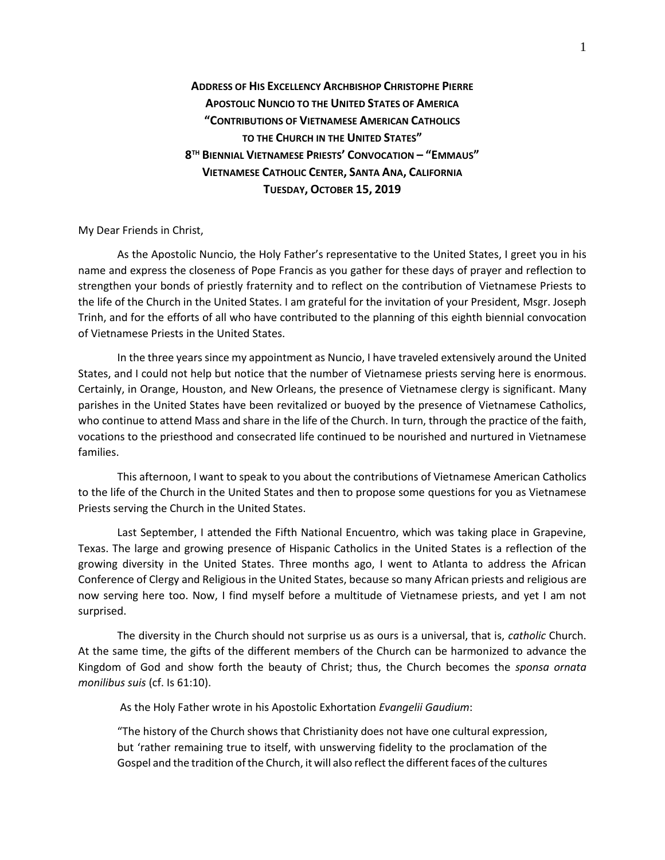**ADDRESS OF HIS EXCELLENCY ARCHBISHOP CHRISTOPHE PIERRE APOSTOLIC NUNCIO TO THE UNITED STATES OF AMERICA "CONTRIBUTIONS OF VIETNAMESE AMERICAN CATHOLICS TO THE CHURCH IN THE UNITED STATES" 8 TH BIENNIAL VIETNAMESE PRIESTS' CONVOCATION – "EMMAUS" VIETNAMESE CATHOLIC CENTER, SANTA ANA, CALIFORNIA TUESDAY, OCTOBER 15, 2019**

My Dear Friends in Christ,

As the Apostolic Nuncio, the Holy Father's representative to the United States, I greet you in his name and express the closeness of Pope Francis as you gather for these days of prayer and reflection to strengthen your bonds of priestly fraternity and to reflect on the contribution of Vietnamese Priests to the life of the Church in the United States. I am grateful for the invitation of your President, Msgr. Joseph Trinh, and for the efforts of all who have contributed to the planning of this eighth biennial convocation of Vietnamese Priests in the United States.

In the three years since my appointment as Nuncio, I have traveled extensively around the United States, and I could not help but notice that the number of Vietnamese priests serving here is enormous. Certainly, in Orange, Houston, and New Orleans, the presence of Vietnamese clergy is significant. Many parishes in the United States have been revitalized or buoyed by the presence of Vietnamese Catholics, who continue to attend Mass and share in the life of the Church. In turn, through the practice of the faith, vocations to the priesthood and consecrated life continued to be nourished and nurtured in Vietnamese families.

This afternoon, I want to speak to you about the contributions of Vietnamese American Catholics to the life of the Church in the United States and then to propose some questions for you as Vietnamese Priests serving the Church in the United States.

Last September, I attended the Fifth National Encuentro, which was taking place in Grapevine, Texas. The large and growing presence of Hispanic Catholics in the United States is a reflection of the growing diversity in the United States. Three months ago, I went to Atlanta to address the African Conference of Clergy and Religious in the United States, because so many African priests and religious are now serving here too. Now, I find myself before a multitude of Vietnamese priests, and yet I am not surprised.

The diversity in the Church should not surprise us as ours is a universal, that is, *catholic* Church. At the same time, the gifts of the different members of the Church can be harmonized to advance the Kingdom of God and show forth the beauty of Christ; thus, the Church becomes the *sponsa ornata monilibus suis* (cf. Is 61:10).

As the Holy Father wrote in his Apostolic Exhortation *Evangelii Gaudium*:

"The history of the Church shows that Christianity does not have one cultural expression, but 'rather remaining true to itself, with unswerving fidelity to the proclamation of the Gospel and the tradition of the Church, it will also reflect the different faces of the cultures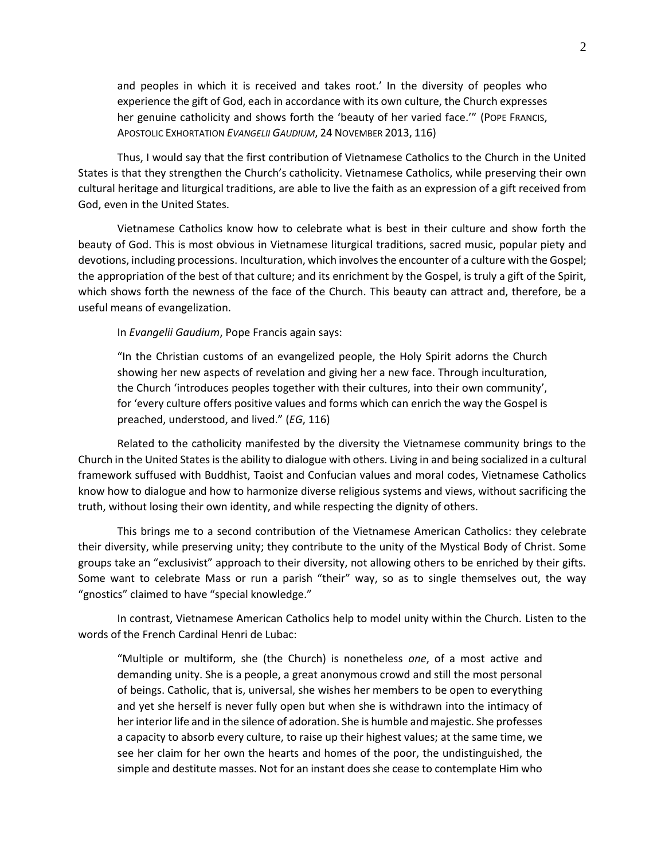and peoples in which it is received and takes root.' In the diversity of peoples who experience the gift of God, each in accordance with its own culture, the Church expresses her genuine catholicity and shows forth the 'beauty of her varied face.'" (POPE FRANCIS, APOSTOLIC EXHORTATION *EVANGELII GAUDIUM*, 24 NOVEMBER 2013, 116)

Thus, I would say that the first contribution of Vietnamese Catholics to the Church in the United States is that they strengthen the Church's catholicity. Vietnamese Catholics, while preserving their own cultural heritage and liturgical traditions, are able to live the faith as an expression of a gift received from God, even in the United States.

Vietnamese Catholics know how to celebrate what is best in their culture and show forth the beauty of God. This is most obvious in Vietnamese liturgical traditions, sacred music, popular piety and devotions, including processions. Inculturation, which involves the encounter of a culture with the Gospel; the appropriation of the best of that culture; and its enrichment by the Gospel, is truly a gift of the Spirit, which shows forth the newness of the face of the Church. This beauty can attract and, therefore, be a useful means of evangelization.

In *Evangelii Gaudium*, Pope Francis again says:

"In the Christian customs of an evangelized people, the Holy Spirit adorns the Church showing her new aspects of revelation and giving her a new face. Through inculturation, the Church 'introduces peoples together with their cultures, into their own community', for 'every culture offers positive values and forms which can enrich the way the Gospel is preached, understood, and lived." (*EG*, 116)

Related to the catholicity manifested by the diversity the Vietnamese community brings to the Church in the United States is the ability to dialogue with others. Living in and being socialized in a cultural framework suffused with Buddhist, Taoist and Confucian values and moral codes, Vietnamese Catholics know how to dialogue and how to harmonize diverse religious systems and views, without sacrificing the truth, without losing their own identity, and while respecting the dignity of others.

This brings me to a second contribution of the Vietnamese American Catholics: they celebrate their diversity, while preserving unity; they contribute to the unity of the Mystical Body of Christ. Some groups take an "exclusivist" approach to their diversity, not allowing others to be enriched by their gifts. Some want to celebrate Mass or run a parish "their" way, so as to single themselves out, the way "gnostics" claimed to have "special knowledge."

In contrast, Vietnamese American Catholics help to model unity within the Church. Listen to the words of the French Cardinal Henri de Lubac:

"Multiple or multiform, she (the Church) is nonetheless *one*, of a most active and demanding unity. She is a people, a great anonymous crowd and still the most personal of beings. Catholic, that is, universal, she wishes her members to be open to everything and yet she herself is never fully open but when she is withdrawn into the intimacy of her interior life and in the silence of adoration. She is humble and majestic. She professes a capacity to absorb every culture, to raise up their highest values; at the same time, we see her claim for her own the hearts and homes of the poor, the undistinguished, the simple and destitute masses. Not for an instant does she cease to contemplate Him who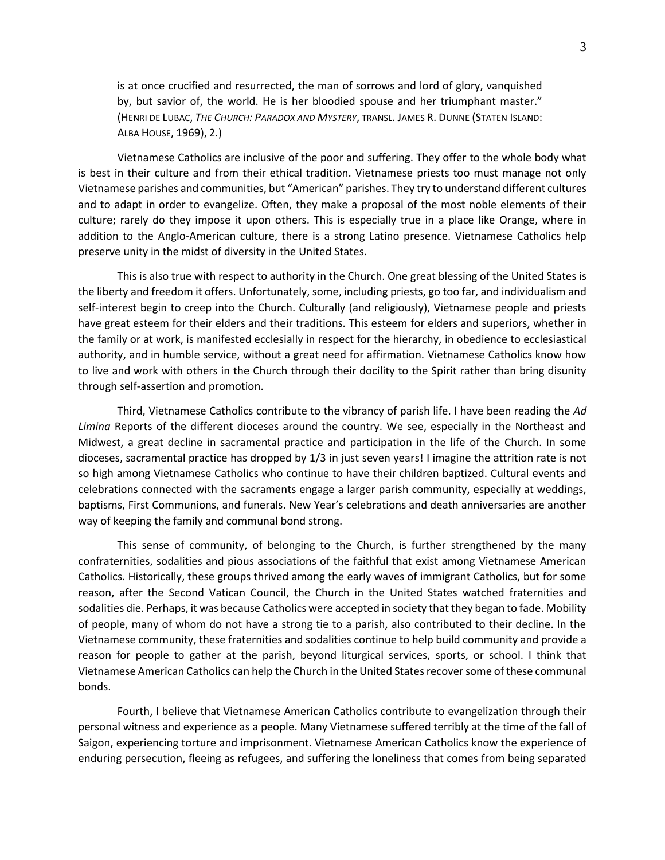is at once crucified and resurrected, the man of sorrows and lord of glory, vanquished by, but savior of, the world. He is her bloodied spouse and her triumphant master." (HENRI DE LUBAC, *THE CHURCH: PARADOX AND MYSTERY*, TRANSL. JAMES R. DUNNE (STATEN ISLAND: ALBA HOUSE, 1969), 2.)

Vietnamese Catholics are inclusive of the poor and suffering. They offer to the whole body what is best in their culture and from their ethical tradition. Vietnamese priests too must manage not only Vietnamese parishes and communities, but "American" parishes. They try to understand different cultures and to adapt in order to evangelize. Often, they make a proposal of the most noble elements of their culture; rarely do they impose it upon others. This is especially true in a place like Orange, where in addition to the Anglo-American culture, there is a strong Latino presence. Vietnamese Catholics help preserve unity in the midst of diversity in the United States.

This is also true with respect to authority in the Church. One great blessing of the United States is the liberty and freedom it offers. Unfortunately, some, including priests, go too far, and individualism and self-interest begin to creep into the Church. Culturally (and religiously), Vietnamese people and priests have great esteem for their elders and their traditions. This esteem for elders and superiors, whether in the family or at work, is manifested ecclesially in respect for the hierarchy, in obedience to ecclesiastical authority, and in humble service, without a great need for affirmation. Vietnamese Catholics know how to live and work with others in the Church through their docility to the Spirit rather than bring disunity through self-assertion and promotion.

Third, Vietnamese Catholics contribute to the vibrancy of parish life. I have been reading the *Ad Limina* Reports of the different dioceses around the country. We see, especially in the Northeast and Midwest, a great decline in sacramental practice and participation in the life of the Church. In some dioceses, sacramental practice has dropped by 1/3 in just seven years! I imagine the attrition rate is not so high among Vietnamese Catholics who continue to have their children baptized. Cultural events and celebrations connected with the sacraments engage a larger parish community, especially at weddings, baptisms, First Communions, and funerals. New Year's celebrations and death anniversaries are another way of keeping the family and communal bond strong.

This sense of community, of belonging to the Church, is further strengthened by the many confraternities, sodalities and pious associations of the faithful that exist among Vietnamese American Catholics. Historically, these groups thrived among the early waves of immigrant Catholics, but for some reason, after the Second Vatican Council, the Church in the United States watched fraternities and sodalities die. Perhaps, it was because Catholics were accepted in society that they began to fade. Mobility of people, many of whom do not have a strong tie to a parish, also contributed to their decline. In the Vietnamese community, these fraternities and sodalities continue to help build community and provide a reason for people to gather at the parish, beyond liturgical services, sports, or school. I think that Vietnamese American Catholics can help the Church in the United States recover some of these communal bonds.

Fourth, I believe that Vietnamese American Catholics contribute to evangelization through their personal witness and experience as a people. Many Vietnamese suffered terribly at the time of the fall of Saigon, experiencing torture and imprisonment. Vietnamese American Catholics know the experience of enduring persecution, fleeing as refugees, and suffering the loneliness that comes from being separated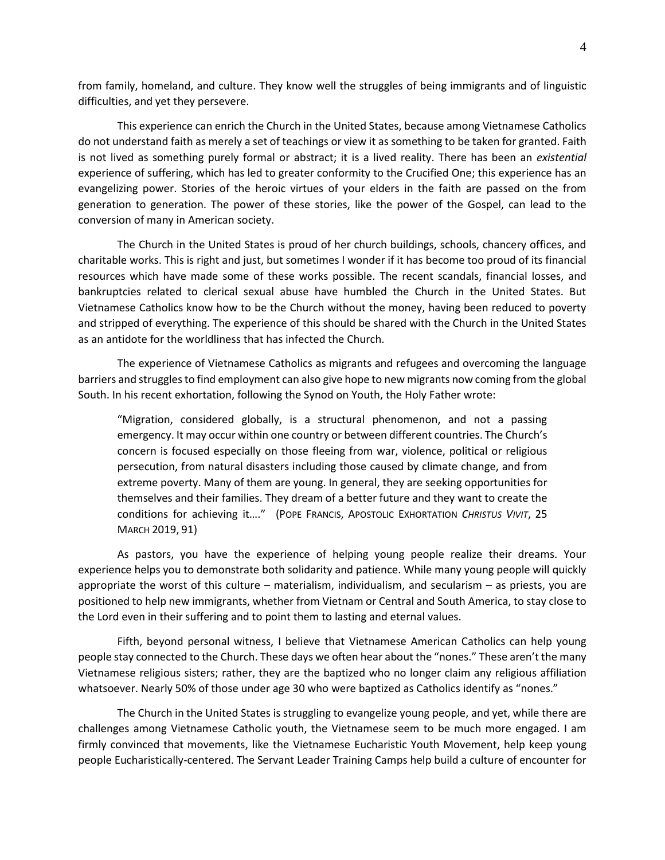from family, homeland, and culture. They know well the struggles of being immigrants and of linguistic difficulties, and yet they persevere.

This experience can enrich the Church in the United States, because among Vietnamese Catholics do not understand faith as merely a set of teachings or view it as something to be taken for granted. Faith is not lived as something purely formal or abstract; it is a lived reality. There has been an *existential* experience of suffering, which has led to greater conformity to the Crucified One; this experience has an evangelizing power. Stories of the heroic virtues of your elders in the faith are passed on the from generation to generation. The power of these stories, like the power of the Gospel, can lead to the conversion of many in American society.

The Church in the United States is proud of her church buildings, schools, chancery offices, and charitable works. This is right and just, but sometimes I wonder if it has become too proud of its financial resources which have made some of these works possible. The recent scandals, financial losses, and bankruptcies related to clerical sexual abuse have humbled the Church in the United States. But Vietnamese Catholics know how to be the Church without the money, having been reduced to poverty and stripped of everything. The experience of this should be shared with the Church in the United States as an antidote for the worldliness that has infected the Church.

The experience of Vietnamese Catholics as migrants and refugees and overcoming the language barriers and struggles to find employment can also give hope to new migrants now coming from the global South. In his recent exhortation, following the Synod on Youth, the Holy Father wrote:

"Migration, considered globally, is a structural phenomenon, and not a passing emergency. It may occur within one country or between different countries. The Church's concern is focused especially on those fleeing from war, violence, political or religious persecution, from natural disasters including those caused by climate change, and from extreme poverty. Many of them are young. In general, they are seeking opportunities for themselves and their families. They dream of a better future and they want to create the conditions for achieving it…." (POPE FRANCIS, APOSTOLIC EXHORTATION *CHRISTUS VIVIT*, 25 MARCH 2019, 91)

As pastors, you have the experience of helping young people realize their dreams. Your experience helps you to demonstrate both solidarity and patience. While many young people will quickly appropriate the worst of this culture – materialism, individualism, and secularism – as priests, you are positioned to help new immigrants, whether from Vietnam or Central and South America, to stay close to the Lord even in their suffering and to point them to lasting and eternal values.

Fifth, beyond personal witness, I believe that Vietnamese American Catholics can help young people stay connected to the Church. These days we often hear about the "nones." These aren't the many Vietnamese religious sisters; rather, they are the baptized who no longer claim any religious affiliation whatsoever. Nearly 50% of those under age 30 who were baptized as Catholics identify as "nones."

The Church in the United States is struggling to evangelize young people, and yet, while there are challenges among Vietnamese Catholic youth, the Vietnamese seem to be much more engaged. I am firmly convinced that movements, like the Vietnamese Eucharistic Youth Movement, help keep young people Eucharistically-centered. The Servant Leader Training Camps help build a culture of encounter for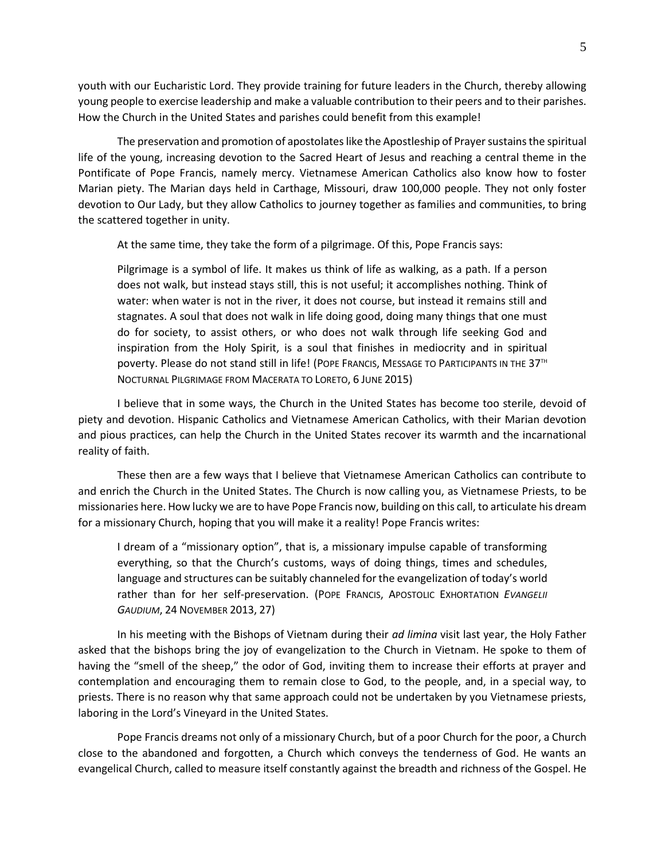youth with our Eucharistic Lord. They provide training for future leaders in the Church, thereby allowing young people to exercise leadership and make a valuable contribution to their peers and to their parishes. How the Church in the United States and parishes could benefit from this example!

The preservation and promotion of apostolates like the Apostleship of Prayer sustains the spiritual life of the young, increasing devotion to the Sacred Heart of Jesus and reaching a central theme in the Pontificate of Pope Francis, namely mercy. Vietnamese American Catholics also know how to foster Marian piety. The Marian days held in Carthage, Missouri, draw 100,000 people. They not only foster devotion to Our Lady, but they allow Catholics to journey together as families and communities, to bring the scattered together in unity.

At the same time, they take the form of a pilgrimage. Of this, Pope Francis says:

Pilgrimage is a symbol of life. It makes us think of life as walking, as a path. If a person does not walk, but instead stays still, this is not useful; it accomplishes nothing. Think of water: when water is not in the river, it does not course, but instead it remains still and stagnates. A soul that does not walk in life doing good, doing many things that one must do for society, to assist others, or who does not walk through life seeking God and inspiration from the Holy Spirit, is a soul that finishes in mediocrity and in spiritual poverty. Please do not stand still in life! (POPE FRANCIS, MESSAGE TO PARTICIPANTS IN THE 37TH NOCTURNAL PILGRIMAGE FROM MACERATA TO LORETO, 6 JUNE 2015)

I believe that in some ways, the Church in the United States has become too sterile, devoid of piety and devotion. Hispanic Catholics and Vietnamese American Catholics, with their Marian devotion and pious practices, can help the Church in the United States recover its warmth and the incarnational reality of faith.

These then are a few ways that I believe that Vietnamese American Catholics can contribute to and enrich the Church in the United States. The Church is now calling you, as Vietnamese Priests, to be missionaries here. How lucky we are to have Pope Francis now, building on this call, to articulate his dream for a missionary Church, hoping that you will make it a reality! Pope Francis writes:

I dream of a "missionary option", that is, a missionary impulse capable of transforming everything, so that the Church's customs, ways of doing things, times and schedules, language and structures can be suitably channeled for the evangelization of today's world rather than for her self-preservation. (POPE FRANCIS, APOSTOLIC EXHORTATION *EVANGELII GAUDIUM*, 24 NOVEMBER 2013, 27)

In his meeting with the Bishops of Vietnam during their *ad limina* visit last year, the Holy Father asked that the bishops bring the joy of evangelization to the Church in Vietnam. He spoke to them of having the "smell of the sheep," the odor of God, inviting them to increase their efforts at prayer and contemplation and encouraging them to remain close to God, to the people, and, in a special way, to priests. There is no reason why that same approach could not be undertaken by you Vietnamese priests, laboring in the Lord's Vineyard in the United States.

Pope Francis dreams not only of a missionary Church, but of a poor Church for the poor, a Church close to the abandoned and forgotten, a Church which conveys the tenderness of God. He wants an evangelical Church, called to measure itself constantly against the breadth and richness of the Gospel. He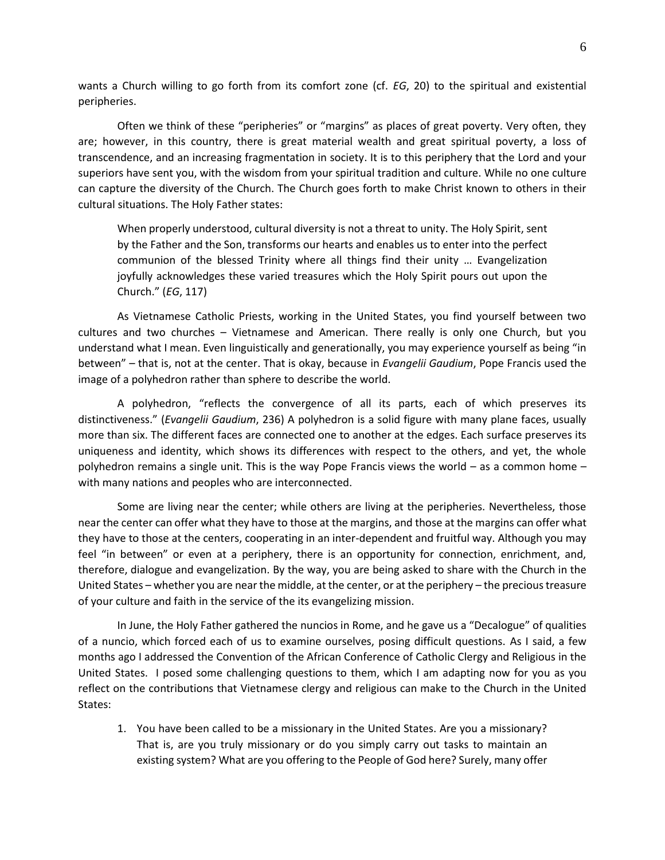wants a Church willing to go forth from its comfort zone (cf. *EG*, 20) to the spiritual and existential peripheries.

Often we think of these "peripheries" or "margins" as places of great poverty. Very often, they are; however, in this country, there is great material wealth and great spiritual poverty, a loss of transcendence, and an increasing fragmentation in society. It is to this periphery that the Lord and your superiors have sent you, with the wisdom from your spiritual tradition and culture. While no one culture can capture the diversity of the Church. The Church goes forth to make Christ known to others in their cultural situations. The Holy Father states:

When properly understood, cultural diversity is not a threat to unity. The Holy Spirit, sent by the Father and the Son, transforms our hearts and enables us to enter into the perfect communion of the blessed Trinity where all things find their unity … Evangelization joyfully acknowledges these varied treasures which the Holy Spirit pours out upon the Church." (*EG*, 117)

As Vietnamese Catholic Priests, working in the United States, you find yourself between two cultures and two churches – Vietnamese and American. There really is only one Church, but you understand what I mean. Even linguistically and generationally, you may experience yourself as being "in between" – that is, not at the center. That is okay, because in *Evangelii Gaudium*, Pope Francis used the image of a polyhedron rather than sphere to describe the world.

A polyhedron, "reflects the convergence of all its parts, each of which preserves its distinctiveness." (*Evangelii Gaudium*, 236) A polyhedron is a solid figure with many plane faces, usually more than six. The different faces are connected one to another at the edges. Each surface preserves its uniqueness and identity, which shows its differences with respect to the others, and yet, the whole polyhedron remains a single unit. This is the way Pope Francis views the world – as a common home – with many nations and peoples who are interconnected.

Some are living near the center; while others are living at the peripheries. Nevertheless, those near the center can offer what they have to those at the margins, and those at the margins can offer what they have to those at the centers, cooperating in an inter-dependent and fruitful way. Although you may feel "in between" or even at a periphery, there is an opportunity for connection, enrichment, and, therefore, dialogue and evangelization. By the way, you are being asked to share with the Church in the United States – whether you are near the middle, at the center, or at the periphery – the precious treasure of your culture and faith in the service of the its evangelizing mission.

In June, the Holy Father gathered the nuncios in Rome, and he gave us a "Decalogue" of qualities of a nuncio, which forced each of us to examine ourselves, posing difficult questions. As I said, a few months ago I addressed the Convention of the African Conference of Catholic Clergy and Religious in the United States. I posed some challenging questions to them, which I am adapting now for you as you reflect on the contributions that Vietnamese clergy and religious can make to the Church in the United States:

1. You have been called to be a missionary in the United States. Are you a missionary? That is, are you truly missionary or do you simply carry out tasks to maintain an existing system? What are you offering to the People of God here? Surely, many offer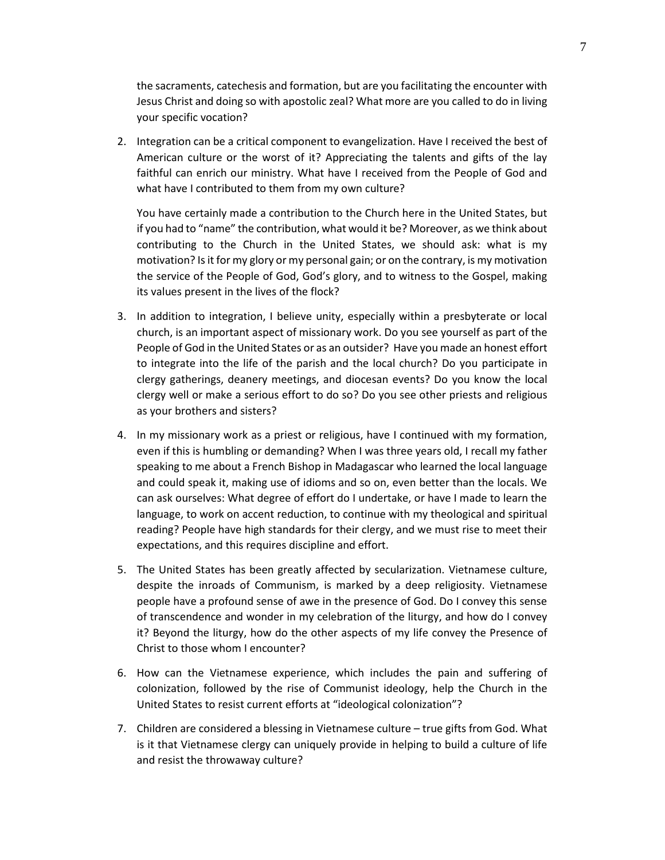the sacraments, catechesis and formation, but are you facilitating the encounter with Jesus Christ and doing so with apostolic zeal? What more are you called to do in living your specific vocation?

2. Integration can be a critical component to evangelization. Have I received the best of American culture or the worst of it? Appreciating the talents and gifts of the lay faithful can enrich our ministry. What have I received from the People of God and what have I contributed to them from my own culture?

You have certainly made a contribution to the Church here in the United States, but if you had to "name" the contribution, what would it be? Moreover, as we think about contributing to the Church in the United States, we should ask: what is my motivation? Is it for my glory or my personal gain; or on the contrary, is my motivation the service of the People of God, God's glory, and to witness to the Gospel, making its values present in the lives of the flock?

- 3. In addition to integration, I believe unity, especially within a presbyterate or local church, is an important aspect of missionary work. Do you see yourself as part of the People of God in the United States or as an outsider? Have you made an honest effort to integrate into the life of the parish and the local church? Do you participate in clergy gatherings, deanery meetings, and diocesan events? Do you know the local clergy well or make a serious effort to do so? Do you see other priests and religious as your brothers and sisters?
- 4. In my missionary work as a priest or religious, have I continued with my formation, even if this is humbling or demanding? When I was three years old, I recall my father speaking to me about a French Bishop in Madagascar who learned the local language and could speak it, making use of idioms and so on, even better than the locals. We can ask ourselves: What degree of effort do I undertake, or have I made to learn the language, to work on accent reduction, to continue with my theological and spiritual reading? People have high standards for their clergy, and we must rise to meet their expectations, and this requires discipline and effort.
- 5. The United States has been greatly affected by secularization. Vietnamese culture, despite the inroads of Communism, is marked by a deep religiosity. Vietnamese people have a profound sense of awe in the presence of God. Do I convey this sense of transcendence and wonder in my celebration of the liturgy, and how do I convey it? Beyond the liturgy, how do the other aspects of my life convey the Presence of Christ to those whom I encounter?
- 6. How can the Vietnamese experience, which includes the pain and suffering of colonization, followed by the rise of Communist ideology, help the Church in the United States to resist current efforts at "ideological colonization"?
- 7. Children are considered a blessing in Vietnamese culture true gifts from God. What is it that Vietnamese clergy can uniquely provide in helping to build a culture of life and resist the throwaway culture?